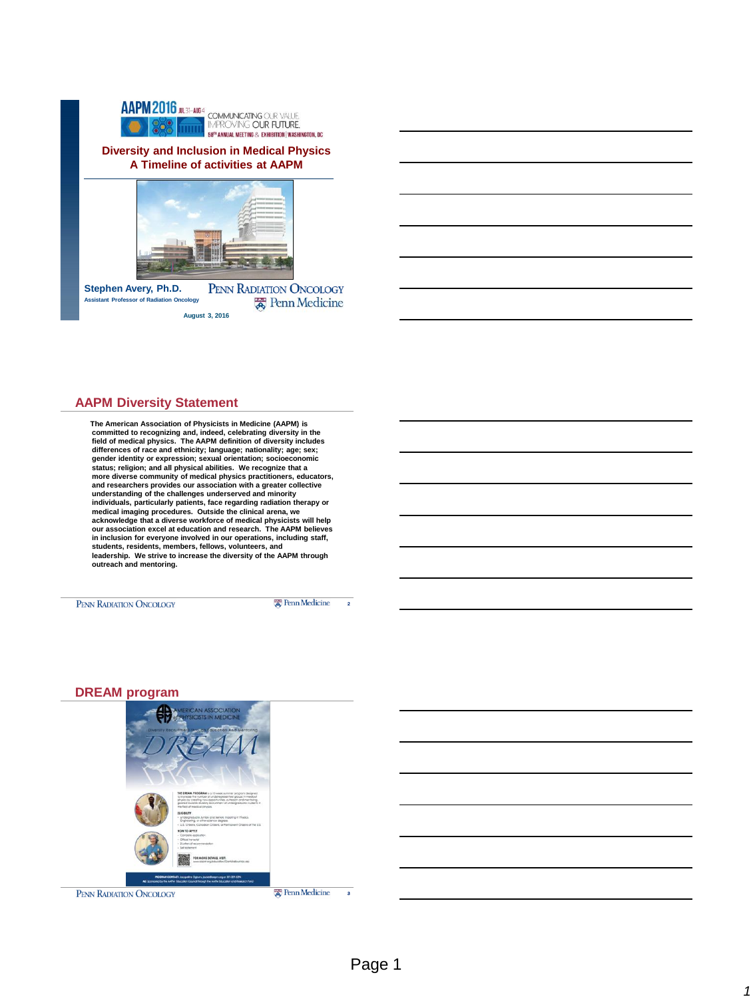

#### **AAPM Diversity Statement**

 **The American Association of Physicists in Medicine (AAPM) is committed to recognizing and, indeed, celebrating diversity in the field of medical physics. The AAPM definition of diversity includes differences of race and ethnicity; language; nationality; age; sex;**  gender identity or expression; sexual orientation; socioeconomic<br>status; religion; and all physical abilities. We recognize that a<br>more diverse community of medical physics practitioners, educators, **and researchers provides our association with a greater collective understanding of the challenges underserved and minority individuals, particularly patients, face regarding radiation therapy or**  medical imaging procedures. Outside the clinical arena, we<br>acknowledge that a diverse workforce of medical physicists will help<br>our association excel at education and research. The AAPM believes **in inclusion for everyone involved in our operations, including staff, students, residents, members, fellows, volunteers, and leadership. We strive to increase the diversity of the AAPM through outreach and mentoring.**

PENN RADIATION ONCOLOGY

**Ex** Penn Medicine

2





3

*1*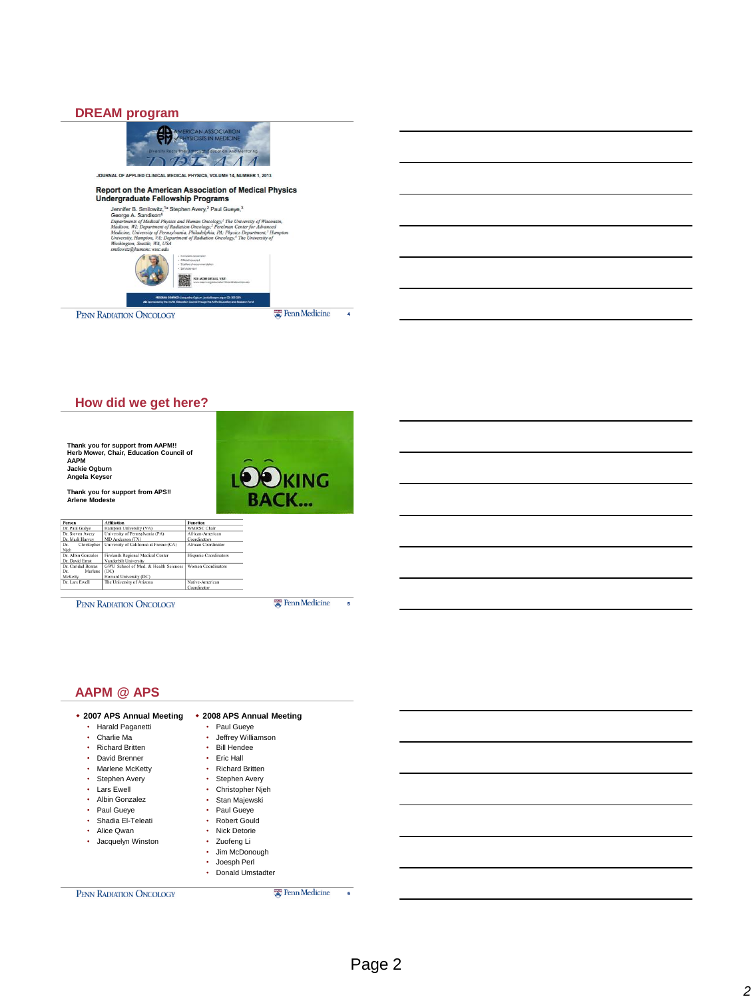#### **DREAM program**



**How did we get here?**

**Thank you for support from AAPM!! Herb Mower, Chair, Education Council of AAPM Jackie Ogburn Angela Keyser**

**Thank you for support from APS!! Arlene Modeste**



| Person             | <b>Affiliation</b>                      | <b>Function</b>       |
|--------------------|-----------------------------------------|-----------------------|
| Dr. Paul Guève     | Hampton University (VA)                 | <b>WMRSC Chair</b>    |
| Dr. Steven Avery   | University of Pennsylvania (PA)         | African-American      |
| Dr. Mark Harvey    | MD Anderson (TX)                        | Coordinators          |
| Christopher<br>Dr. | University of California at Fresno (CA) | African Coordinator   |
| Nich               |                                         |                       |
| Dr. Albin Gonzales | Firelands Regional Medical Center       | Hispanic Coordinators |
| Dr. David Ernst    | Vanderbilt University                   |                       |
| Dr. Caridad Borras | GWU School of Med. & Health Sciences    | Women Coordinators    |
| Marlene<br>Dr.     | (DC)                                    |                       |
| McKetty            | Howard University (DC)                  |                       |
| Dr. Lars Ewell     | The University of Arizona               | Native-American       |
|                    |                                         | Coordinator           |

PENN RADIATION ONCOLOGY

**E** Penn Medicine

5

4

# **AAPM @ APS**

| * 2007 APS Annual Meeting   | ◆ 2008 APS Annual Meeting   |   |  |
|-----------------------------|-----------------------------|---|--|
| Harald Paganetti<br>٠       | Paul Gueye<br>٠             |   |  |
| Charlie Ma<br>٠             | Jeffrey Williamson          |   |  |
| <b>Richard Britten</b><br>٠ | <b>Bill Hendee</b><br>٠     |   |  |
| David Brenner<br>٠          | Eric Hall<br>٠              |   |  |
| Marlene McKetty<br>٠        | <b>Richard Britten</b><br>٠ |   |  |
| Stephen Avery<br>٠          | Stephen Avery<br>٠          |   |  |
| • Lars Ewell                | Christopher Njeh<br>٠       |   |  |
| Albin Gonzalez<br>٠         | Stan Majewski<br>٠          |   |  |
| Paul Gueye<br>٠             | Paul Gueye<br>٠             |   |  |
| Shadia El-Teleati<br>۰      | <b>Robert Gould</b><br>٠    |   |  |
| Alice Qwan<br>٠             | Nick Detorie<br>٠           |   |  |
| Jacquelyn Winston<br>٠      | Zuofeng Li<br>٠             |   |  |
|                             | Jim McDonough<br>٠          |   |  |
|                             | Joesph Perl                 |   |  |
|                             | Donald Umstadter            |   |  |
| PENN RADIATION ONCOLOGY     | <b>Ex</b> Penn Medicine     | 6 |  |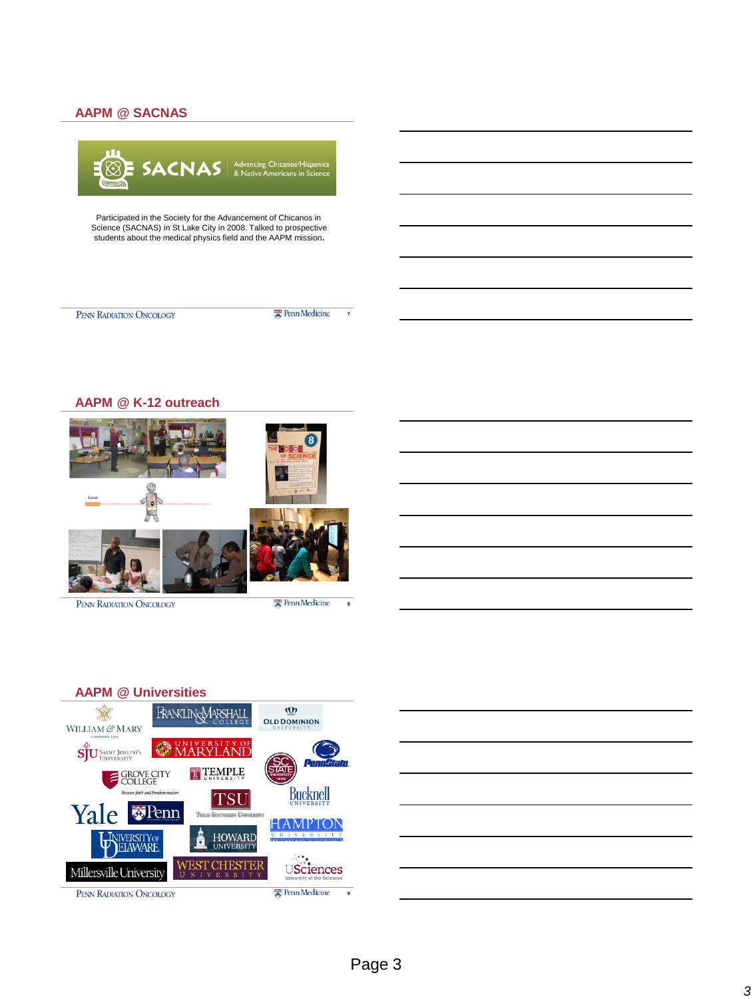## **AAPM @ SACNAS**



Participated in the Society for the Advancement of Chicanos in Science (SACNAS) in St Lake City in 2008. Talked to prospective students about the medical physics field and the AAPM mission**.**

PENN RADIATION ONCOLOGY

**E** Penn Medicine

 $\overline{7}$ 



PENN RADIATION ONCOLOGY

**爱 Penn Medicine** 



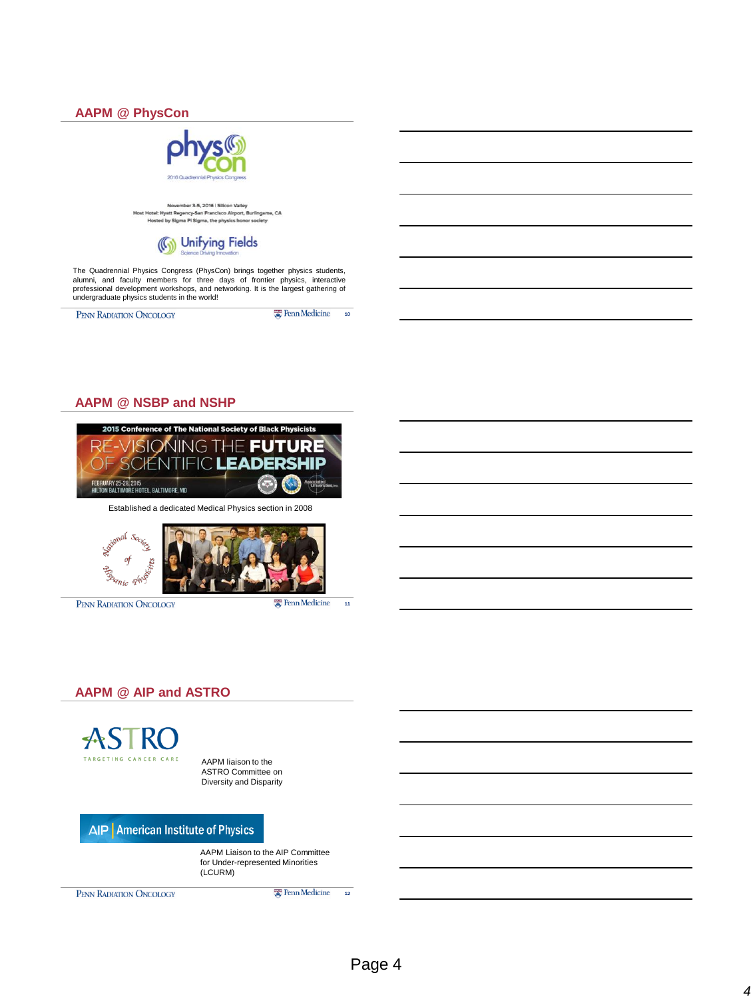

#### **AAPM @ NSBP and NSHP**



Established a dedicated Medical Physics section in 2008



PENN RADIATION ONCOLOGY

**Ex** Penn Medicine

11

## **AAPM @ AIP and ASTRO**



AAPM liaison to the ASTRO Committee on Diversity and Disparity

AIP | American Institute of Physics

AAPM Liaison to the AIP Committee for Under-represented Minorities (LCURM)

**Ex** Penn Medicine

PENN RADIATION ONCOLOGY

12